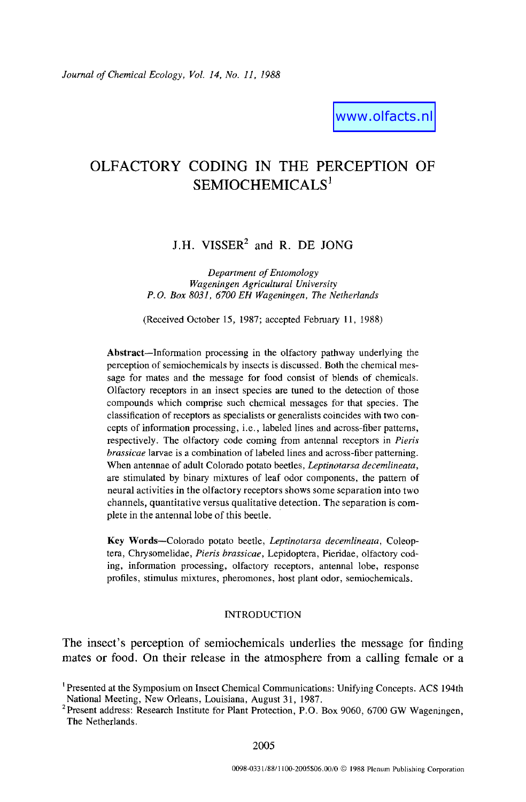www.olfacts.nl

# **OLFACTORY CODING IN THE PERCEPTION OF**  SEMIOCHEMICALS<sup>1</sup>

# J.H. VISSER<sup>2</sup> and R. DE JONG

*Department of Entomology Wageningen Agricultural University P.O. Box 8031, 6700 EH Wageningen, The Netherlands* 

(Received October 15, 1987; accepted February 11, 1988)

Abstract--Information processing in the olfactory pathway underlying the perception of semiochemicals by insects is discussed. Both the chemical message for mates and the message for food consist of blends of chemicals. Olfactory receptors in an insect species are tuned to the detection of those compounds which comprise such chemical messages for that species. The classification of receptors as specialists or generalists coincides with two concepts of information processing, i.e., labeled lines and across-fiber patterns, respectively. The olfactory code coming from antennal receptors in *Pieris brassicae* larvae is a combination of labeled lines and across-fiber patterning. When antennae of adult Colorado potato beetles, *Leptinotarsa decemlineata,*  are stimulated by binary mixtures of leaf odor components, the pattern of neural activities in the olfactory receptors shows some separation into two channels, quantitative versus qualitative detection. The separation is complete in the antennal lobe of this beetle.

Key Words--Colorado potato beetle, *Leptinotarsa decemlineata,* Coleoptera, Chrysomelidae, *Pieris brassicae,* Lepidoptera, Piefidae, olfactory coding, information processing, olfactory receptors, antennal lobe, response profiles, stimulus mixtures, pheromones, host plant odor, semiochemicals.

### INTRODUCTION

The insect's perception of semiochemicals underlies the message for finding mates or food. On their release in the atmosphere from a calling female or a

<sup>1</sup> Presented at the Symposium on Insect Chemical Communications: Unifying Concepts. ACS 194th National Meeting, New Orleans, Louisiana, August 31, 1987.

<sup>&</sup>lt;sup>2</sup> Present address: Research Institute for Plant Protection, P.O. Box 9060, 6700 GW Wageningen, The Netherlands.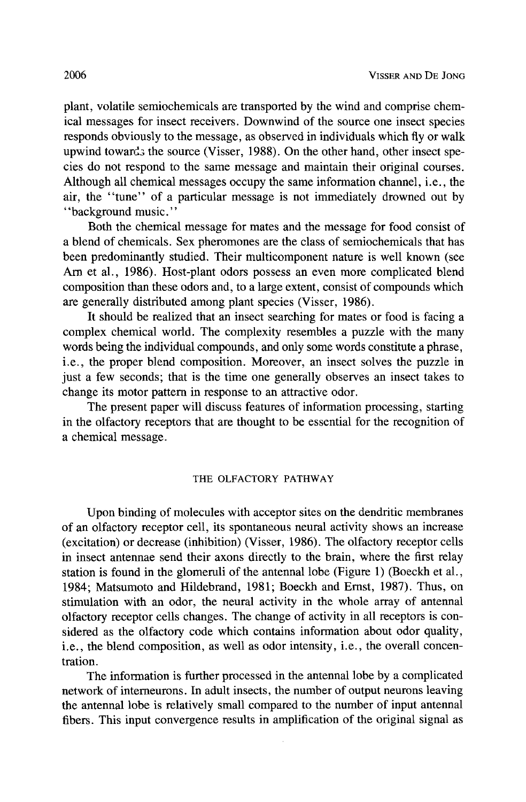plant, volatile semiochemicals are transported by the wind and comprise chemical messages for insect receivers. Downwind of the source one insect species responds obviously to the message, as observed in individuals which fly or walk upwind toward; the source (Visser, 1988). On the other hand, other insect species do not respond to the same message and maintain their original courses. Although all chemical messages occupy the same information channel, i.e., the air, the "tune" of a particular message is not immediately drowned out by "background music."

Both the chemical message for mates and the message for food consist of a blend of chemicals. Sex pheromones are the class of semiochemicals that has been predominantly studied. Their multicomponent nature is well known (see Am et al., 1986). Host-plant odors possess an even more complicated blend composition than these odors and, to a large extent, consist of compounds which are generally distributed among plant species (Visser, 1986).

It should be realized that an insect searching for mates or food is facing a complex chemical world. The complexity resembles a puzzle with the many words being the individual compounds, and only some words constitute a phrase, i.e., the proper blend composition. Moreover, an insect solves the puzzle in just a few seconds; that is the time one generally observes an insect takes to change its motor pattern in response to an attractive odor.

The present paper will discuss features of information processing, starting in the olfactory receptors that are thought to be essential for the recognition of a chemical message.

## THE OLFACTORY PATHWAY

Upon binding of molecules with acceptor sites on the dendritic membranes of an olfactory receptor cell, its spontaneous neural activity shows an increase (excitation) or decrease (inhibition) (Visser, 1986). The olfactory receptor cells in insect antennae send their axons directly to the brain, where the first relay station is found in the glomeruli of the antennal lobe (Figure 1) (Boeckh et al., 1984; Matsumoto and Hildebrand, 1981; Boeckh and Ernst, 1987). Thus, on stimulation with an odor, the neural activity in the whole array of antennal olfactory receptor cells changes. The change of activity in all receptors is considered as the olfactory code which contains information about odor quality, i.e., the blend composition, as well as odor intensity, i.e., the overall concentration.

The information is further processed in the antennal lobe by a complicated network of interneurons. In adult insects, the number of output neurons leaving the antennal lobe is relatively small compared to the number of input antennal fibers. This input convergence results in amplification of the original signal as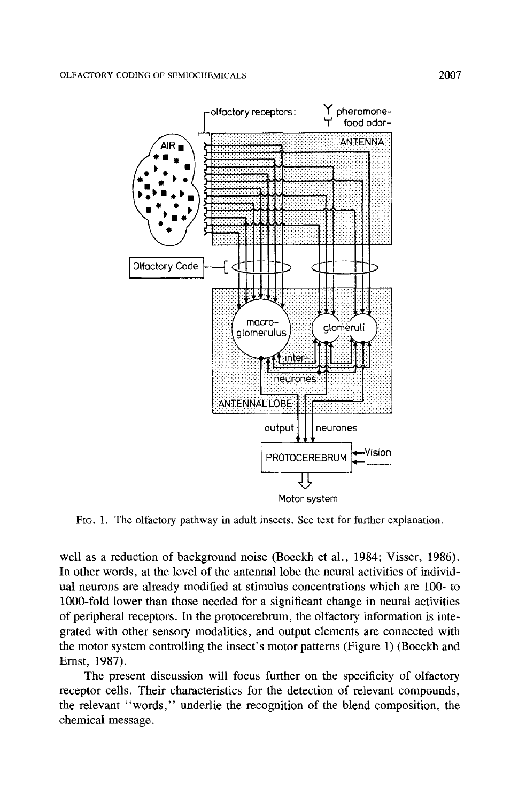

FIo. 1. The olfactory pathway in adult insects. See text for further explanation.

well as a reduction of background noise (Boeckh et al., 1984; Visser, 1986). In other words, at the level of the antennal lobe the neural activities of individual neurons are already modified at stimulus concentrations which are 100- to 1000-fold lower than those needed for a significant change in neural activities of peripheral receptors. In the protocerebrum, the olfactory information is integrated with other sensory modalities, and output elements are connected with the motor system controlling the insect's motor patterns (Figure 1) (Boeckh and Ernst, 1987).

The present discussion will focus further on the specificity of olfactory receptor cells. Their characteristics for the detection of relevant compounds, the relevant "words," underlie the recognition of the blend composition, the chemical message.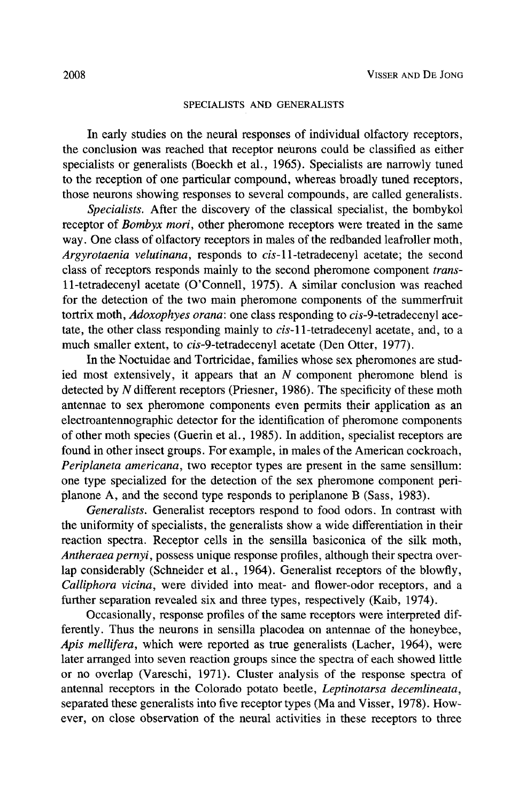## SPECIALISTS AND GENERALISTS

In early studies on the neural responses of individual olfactory receptors, the conclusion was reached that receptor neurons could be classified as either specialists or generalists (Boeckh et al., 1965). Specialists are narrowly tuned to the reception of one particular compound, whereas broadly tuned receptors, those neurons showing responses to several compounds, are called generalists.

*Specialists.* After the discovery of the classical specialist, the bombykol receptor of *Bombyx mori,* other pheromone receptors were treated in the same way. One class of olfactory receptors in males of the redbanded leafroller moth, *Argyrotaenia velutinana,* responds to *cis-ll-tetradecenyl* acetate; the second class of receptors responds mainly to the second pheromone component *trans*l l-tetradecenyl acetate (O'Connell, 1975). A similar conclusion was reached for the detection of the two main pheromone components of the summerfruit tortrix moth, *Adoxophyes orana:* one class responding to *cis-9-tetradecenyl* acetate, the other class responding mainly to *cis-11-tetradecenyl* acetate, and, to a much smaller extent, to *cis-9-tetradecenyl* acetate (Den Otter, 1977).

In the Noctuidae and Tortricidae, families whose sex pheromones are studied most extensively, it appears that an  $N$  component pheromone blend is detected by N different receptors (Priesner, 1986). The specificity of these moth antennae to sex pheromone components even permits their application as an electroantennographic detector for the identification of pheromone components of other moth species (Guerin et al., 1985). In addition, specialist receptors are found in other insect groups. For example, in males of the American cockroach, *Periplaneta americana, two receptor types are present in the same sensillum:* one type specialized for the detection of the sex pheromone component periplanone A, and the second type responds to periplanone B (Sass, 1983).

*Generalists.* Generalist receptors respond to food odors. In contrast with the uniformity of specialists, the generalists show a wide differentiation in their reaction spectra. Receptor cells in the sensilla basiconica of the silk moth, *Antheraea pernyi,* possess unique response profiles, although their spectra overlap considerably (Schneider et al., 1964). Generalist receptors of the blowfly, *Calliphora vicina,* were divided into meat- and flower-odor receptors, and a further separation revealed six and three types, respectively (Kaib, 1974).

Occasionally, response profiles of the same receptors were interpreted differently. Thus the neurons in sensilla placodea on antennae of the honeybee, *Apis mellifera,* which were reported as true generalists (Lacher, 1964), were later arranged into seven reaction groups since the spectra of each showed little or no overlap (Vareschi, 1971). Cluster analysis of the response spectra of antennal receptors in the Colorado potato beetle, *Leptinotarsa decemlineata,*  separated these generalists into five receptor types (Ma and Visser, 1978). However, on close observation of the neural activities in these receptors to three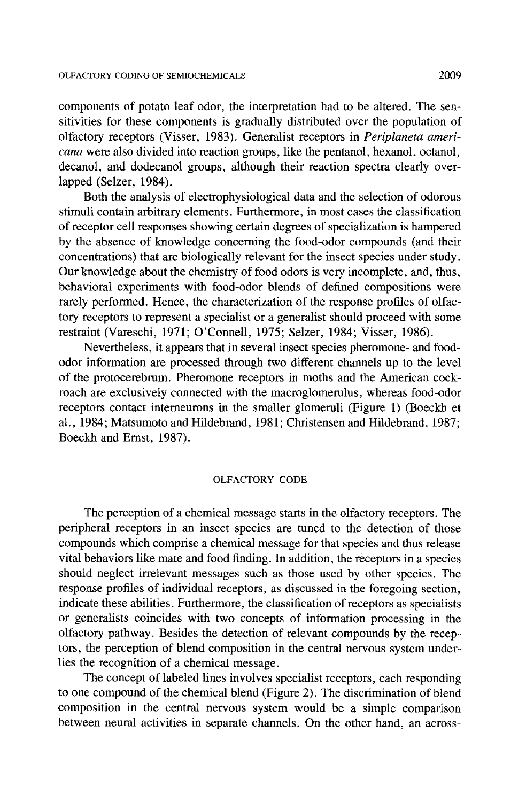components of potato leaf odor, the interpretation had to be altered. The sensitivities for these components is gradually distributed over the population of olfactory receptors (Visser, 1983). Generalist receptors in *Periplaneta americana* were also divided into reaction groups, like the pentanol, hexanol, octanol, decanol, and dodecanol groups, although their reaction spectra clearly overlapped (Seizer, 1984).

Both the analysis of electrophysiological data and the selection of odorous stimuli contain arbitrary elements. Furthermore, in most cases the classification of receptor cell responses showing certain degrees of specialization is hampered by the absence of knowledge concerning the food-odor compounds (and their concentrations) that are biologically relevant for the insect species under study. Our knowledge about the chemistry of food odors is very incomplete, and, thus, behavioral experiments with food-odor blends of defined compositions were rarely performed. Hence, the characterization of the response profiles of olfactory receptors to represent a specialist or a generalist should proceed with some restraint (Vareschi, 1971; O'Connell, 1975; Seizer, 1984; Visser, 1986).

Nevertheless, it appears that in several insect species pheromone- and foododor information are processed through two different channels up to the level of the protocerebrum. Pheromone receptors in moths and the American cockroach are exclusively connected with the macroglomerulus, whereas food-odor receptors contact interneurons in the smaller glomeruli (Figure 1) (Boeckh et al., 1984; Matsumoto and Hildebrand, 1981; Christensen and Hildebrand, 1987; Boeckh and Ernst, 1987).

### OLFACTORY CODE

The perception of a chemical message starts in the olfactory receptors. The peripheral receptors in an insect species are tuned to the detection of those compounds which comprise a chemical message for that species and thus release vital behaviors like mate and food finding. In addition, the receptors in a species should neglect irrelevant messages such as those used by other species. The response profiles of individual receptors, as discussed in the foregoing section, indicate these abilities. Furthermore, the classification of receptors as specialists or generalists coincides with two concepts of information processing in the olfactory pathway. Besides the detection of relevant compounds by the receptors, the perception of blend composition in the central nervous system underlies the recognition of a chemical message.

The concept of labeled lines involves specialist receptors, each responding to one compound of the chemical blend (Figure 2). The discrimination of blend composition in the central nervous system would be a simple comparison between neural activities in separate channels. On the other hand, an across-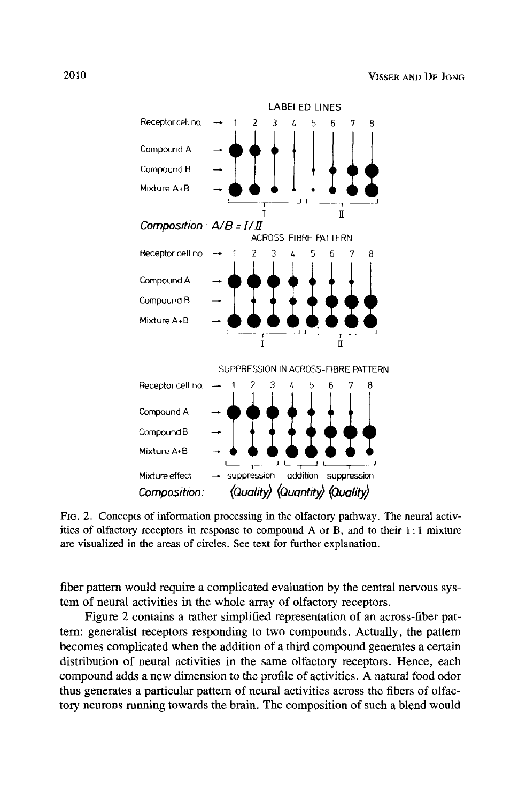

FIG. 2. Concepts of information processing in the olfactory pathway. The neural activities of olfactory receptors in response to compound A or B, and to their 1 : 1 mixture are visualized in the areas of circles. See text for further explanation.

fiber pattern would require a complicated evaluation by the central nervous system of neural activities in the whole array of olfactory receptors.

Figure 2 contains a rather simplified representation of an across-fiber pattern: generalist receptors responding to two compounds. Actually, the pattern becomes complicated when the addition of a third compound generates a certain distribution of neural activities in the same olfactory receptors. Hence, each compound adds a new dimension to the profile of activities. A natural food odor thus generates a particular pattern of neural activities across the fibers of olfactory neurons running towards the brain. The composition of such a blend would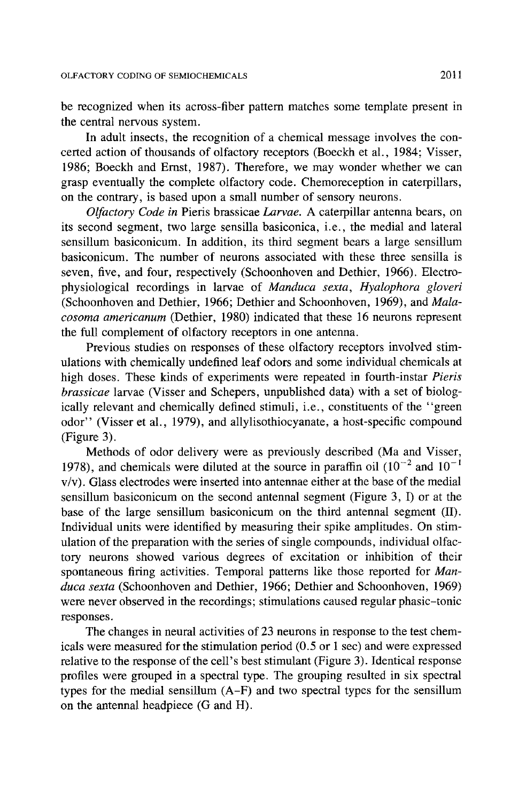be recognized when its across-fiber pattern matches some template present in the central nervous system.

In adult insects, the recognition of a chemical message involves the concerted action of thousands of olfactory receptors (Boeckh et al., 1984; Visser, 1986; Boeckh and Ernst, 1987). Therefore, we may wonder whether we can grasp eventually the complete olfactory code. Chemoreception in caterpillars, on the contrary, is based upon a small number of sensory neurons.

*Olfactory Code in* Pieris brassicae *Larvae.* A caterpillar antenna bears, on its second segment, two large sensilla basiconica, i.e., the medial and lateral sensillum basiconicum. In addition, its third segment bears a large sensillum basiconicum. The number of neurons associated with these three sensilla is seven, five, and four, respectively (Schoonhoven and Dethier, 1966). Electrophysiological recordings in larvae of *Manduca sexta, Hyalophora gloveri*  (Schoonhoven and Dethier, 1966; Dethier and Schoonhoven, 1969), and *Malacosoma americanum* (Dethier, 1980) indicated that these 16 neurons represent the full complement of olfactory receptors in one antenna.

Previous studies on responses of these olfactory receptors involved stimulations with chemically undefined leaf odors and some individual chemicals at high doses. These kinds of experiments were repeated in fourth-instar *Pieris brassicae* larvae (Visser and Schepers, unpublished data) with a set of biologically relevant and chemically defined stimuli, i.e., constituents of the "green odor" (Visser et al., 1979), and allylisothiocyanate, a host-specific compound (Figure 3).

Methods of odor delivery were as previously described (Ma and Visser, 1978), and chemicals were diluted at the source in paraffin oil  $(10^{-2}$  and  $10^{-1}$ v/v). Glass electrodes were inserted into antennae either at the base of the medial sensillum basiconicum on the second antennal segment (Figure 3, I) or at the base of the large sensillum basiconicum on the third antennal segment (II). Individual units were identified by measuring their spike amplitudes. On stimulation of the preparation with the series of single compounds, individual olfactory neurons showed various degrees of excitation or inhibition of their spontaneous firing activities. Temporal patterns like those reported for *Manduca sexta* (Schoonhoven and Dethier, 1966; Dethier and Schoonhoven, 1969) were never observed in the recordings; stimulations caused regular phasic-tonic responses.

The changes in neural activities of 23 neurons in response to the test chemicals were measured for the stimulation period (0.5 or 1 sec) and were expressed relative to the response of the cell's best stimulant (Figure 3). Identical response profiles were grouped in a spectral type. The grouping resulted in six spectral types for the medial sensillum (A-F) and two spectral types for the sensillum on the antennal headpiece (G and H).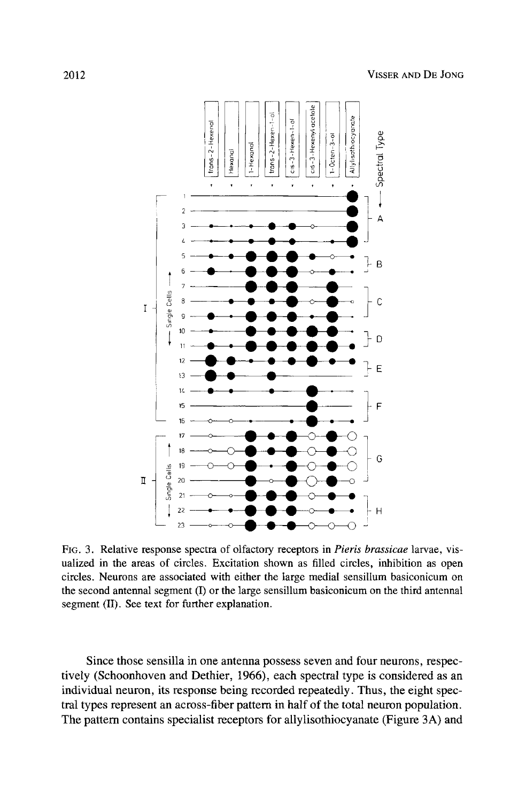

**FIG. 3. Relative response spectra of olfactory receptors in** *Pieris brassicae* **larvae, visualized in the areas of circles. Excitation shown as filled circles, inhibition as open circles. Neurons are associated with either the large medial sensillum basiconicum on the second antennal segment (I) or the large sensillum basiconicum on the third antennal segment (II). See text for further explanation.** 

**Since those sensilla in one antenna possess seven and four neurons, respectively (Schoonhoven and Dethier, 1966), each spectral type is considered as an individual neuron, its response being recorded repeatedly. Thus, the eight spectral types represent an across-fiber pattern in half of the total neuron population. The pattern contains specialist receptors for allylisothiocyanate (Figure 3A) and**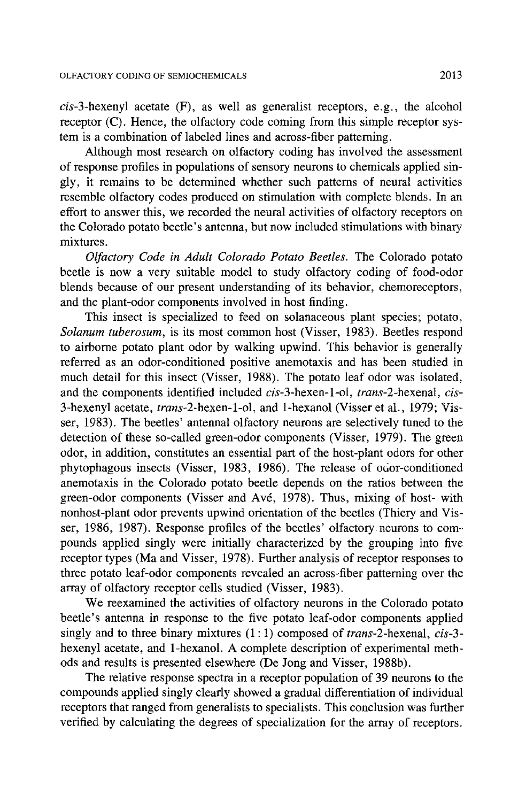*cis-3-hexenyl* acetate (F), as well as generalist receptors, e.g., the alcohol receptor (C). Hence, the olfactory code coming from this simple receptor system is a combination of labeled lines and across-fiber patterning.

Although most research on olfactory coding has involved the assessment of response profiles in populations of sensory neurons to chemicals applied singly, it remains to be determined whether such patterns of neural activities resemble olfactory codes produced on stimulation with complete blends. In an effort to answer this, we recorded the neural activities of olfactory receptors on the Colorado potato beetle's antenna, but now included stimulations with binary mixtures.

*Olfactory Code in Adult Colorado Potato Beetles.* The Colorado potato beetle is now a very suitable model to study olfactory coding of food-odor blends because of our present understanding of its behavior, chemoreceptors, and the plant-odor components involved in host finding.

This insect is specialized to feed on solanaceous plant species; potato, *Solanum tuberosum,* is its most common host (Visser, 1983). Beetles respond to airborne potato plant odor by walking upwind. This behavior is generally referred as an odor-conditioned positive anemotaxis and has been studied in much detail for this insect (Visser, 1988). The potato leaf odor was isolated, and the components identified included *cis-3-hexen-l-ol, trans-2-hexenal, cis-*3-hexenyl acetate, *trans-2-hexen-l-ol,* and 1-hexanol (Visser et al., 1979; Visser, 1983). The beetles' antennal olfactory neurons are selectively tuned to the detection of these so-called green-odor components (Visser, 1979). The green odor, in addition, constitutes an essential part of the host-plant odors for other phytophagous insects (Visser, 1983, 1986). The release of odor-conditioned anemotaxis in the Colorado potato beetle depends on the ratios between the green-odor components (Visser and Avé, 1978). Thus, mixing of host- with nonhost-plant odor prevents upwind orientation of the beetles (Thiery and Visser, 1986, 1987). Response profiles of the beetles' olfactory neurons to compounds applied singly were initially characterized by the grouping into five receptor types (Ma and Visser, 1978). Further analysis of receptor responses to three potato leaf-odor components revealed an across-fiber patterning over the array of olfactory receptor cells studied (Visser, 1983).

We reexamined the activities of olfactory neurons in the Colorado potato beetle's antenna in response to the five potato leaf-odor components applied singly and to three binary mixtures (1 : 1) composed of *trans-2-hexenal, cis-3*  hexenyl acetate, and 1-hexanol. A complete description of experimental methods and results is presented elsewhere (De Jong and Visser, 1988b).

The relative response spectra in a receptor population of 39 neurons to the compounds applied singly clearly showed a gradual differentiation of individual receptors that ranged from generalists to specialists. This conclusion was further verified by calculating the degrees of specialization for the array of receptors.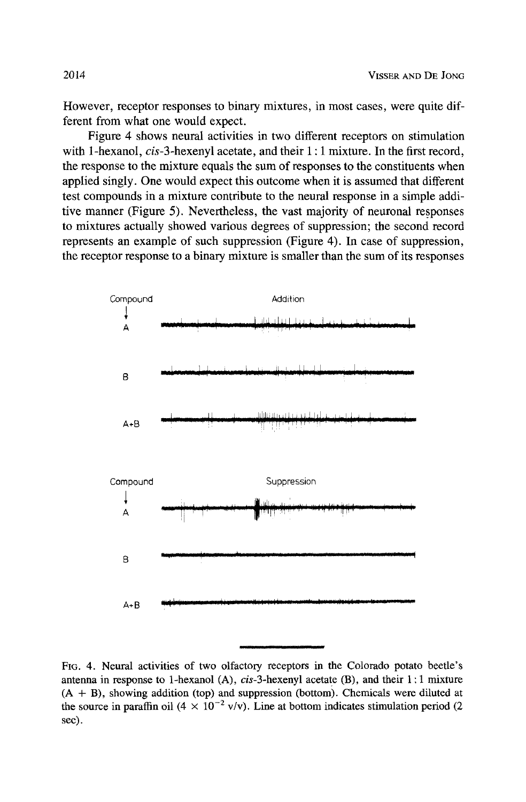However, receptor responses to binary mixtures, in most cases, were quite different from what one would expect.

Figure 4 shows neural activities in two different receptors on stimulation with 1-hexanol,  $cis$ -3-hexenyl acetate, and their 1 : 1 mixture. In the first record, the response to the mixture equals the sum of responses to the constituents when applied singly. One would expect this outcome when it is assumed that different test compounds in a mixture contribute to the neural response in a simple additive manner (Figure 5). Nevertheless, the vast majority of neuronal responses to mixtures actually showed various degrees of suppression; the second record represents an example of such suppression (Figure 4). In case of suppression, the receptor response to a binary mixture is smaller than the sum of its responses



FIG. 4. Neural activities of two olfactory receptors in the Colorado potato beetle's antenna in response to 1-hexanol (A), *cis-3-hexenyl* acetate (B), and their 1 : 1 mixture (A + B), showing addition (top) and suppression (bottom). Chemicals were diluted at the source in paraffin oil (4  $\times$  10<sup>-2</sup> v/v). Line at bottom indicates stimulation period (2 see).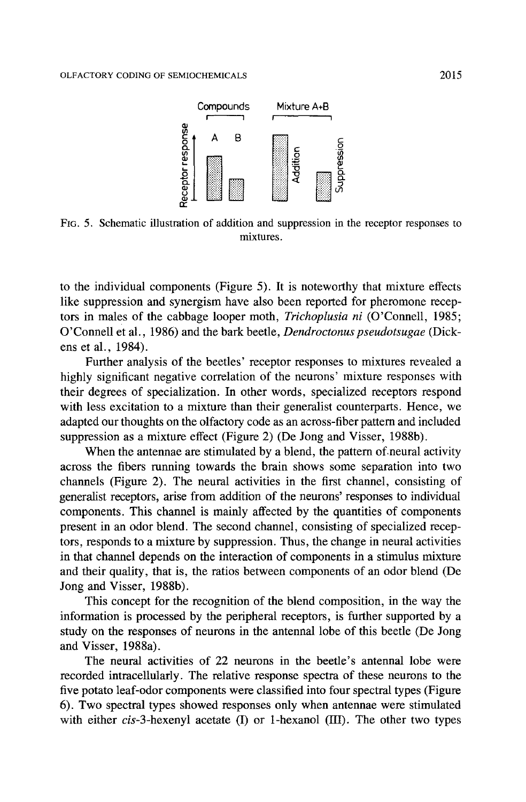Receptor response



FIG. 5. Schematic illustration of addition and suppression in the receptor responses to mixtures.

to the individual components (Figure 5). It is noteworthy that mixture effects like suppression and synergism have also been reported for pheromone receptors in males of the cabbage looper moth, *Trichoplusia ni* (O'Connell, 1985; O'Connell et al., 1986) and the bark beetle, *Dendroctonus pseudotsugae* (Dickens et al., 1984).

Further analysis of the beetles' receptor responses to mixtures revealed a highly significant negative correlation of the neurons' mixture responses with their degrees of specialization. In other words, specialized receptors respond with less excitation to a mixture than their generalist counterparts. Hence, we adapted our thoughts on the olfactory code as an across-fiber pattern and included suppression as a mixture effect (Figure 2) (De Jong and Visser, 1988b).

When the antennae are stimulated by a blend, the pattern of neural activity across the fibers running towards the brain shows some separation into two channels (Figure 2). The neural activities in the first channel, consisting of generalist receptors, arise from addition of the neurons' responses to individual components. This channel is mainly affected by the quantities of components present in an odor blend. The second channel, consisting of specialized receptors, responds to a mixture by suppression. Thus, the change in neural activities in that channel depends on the interaction of components in a stimulus mixture and their quality, that is, the ratios between components of an odor blend (De Jong and Visser, 1988b).

This concept for the recognition of the blend composition, in the way the information is processed by the peripheral receptors, is further supported by a study on the responses of neurons in the antennal lobe of this beetle (De Jong and Visser, 1988a).

The neural activities of 22 neurons in the beetle's antennal lobe were recorded intracellularly. The relative response spectra of these neurons to the five potato leaf-odor components were classified into four spectral types (Figure 6). Two spectral types showed responses only when antennae were stimulated with either *cis-3-hexenyl acetate* (I) or 1-hexanol (III). The other two types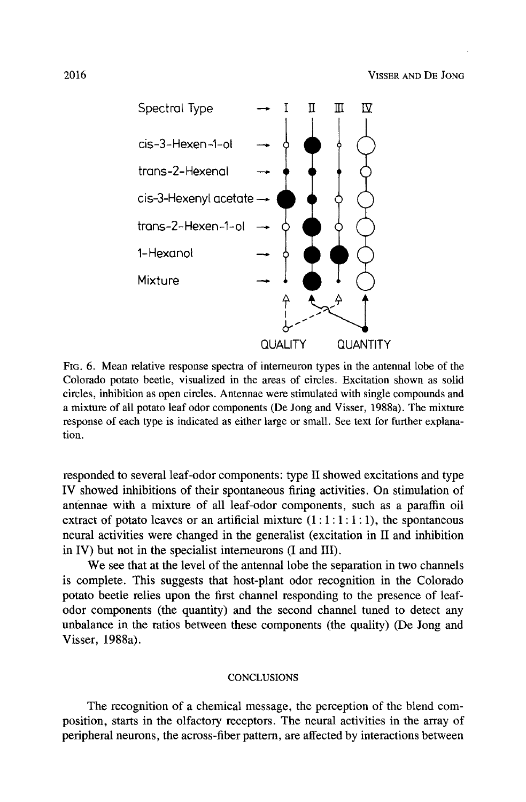

FIG. 6. Mean relative response spectra of interneuron types in the antennal lobe of the Colorado potato beetle, visualized in the areas of circles. Excitation shown as solid circles, inhibition as open circles. Antennae were stimulated with single compounds and a mixture of all potato leaf odor components (De Jong and Visser, 1988a). The mixture response of each type is indicated as either large or small. See text for further explanation.

responded to several leaf-odor components: type II showed excitations and type IV showed inhibitions of their spontaneous firing activities. On stimulation of antennae with a mixture of all leaf-odor components, such as a paraffin oil extract of potato leaves or an artificial mixture  $(1:1:1:1:1)$ , the spontaneous neural activities were changed in the generalist (excitation in II and inhibition in IV) but not in the specialist intemeurons (I and III).

We see that at the level of the antennal lobe the separation in two channels is complete. This suggests that host-plant odor recognition in the Colorado potato beetle relies upon the first channel responding to the presence of leafodor components (the quantity) and the second channel tuned to detect any unbalance in the ratios between these components (the quality) (De Jong and Visser, 1988a).

### **CONCLUSIONS**

The recognition of a chemical message, the perception of the blend composition, starts in the olfactory receptors. The neural activities in the array of peripheral neurons, the across-fiber pattern, are affected by interactions between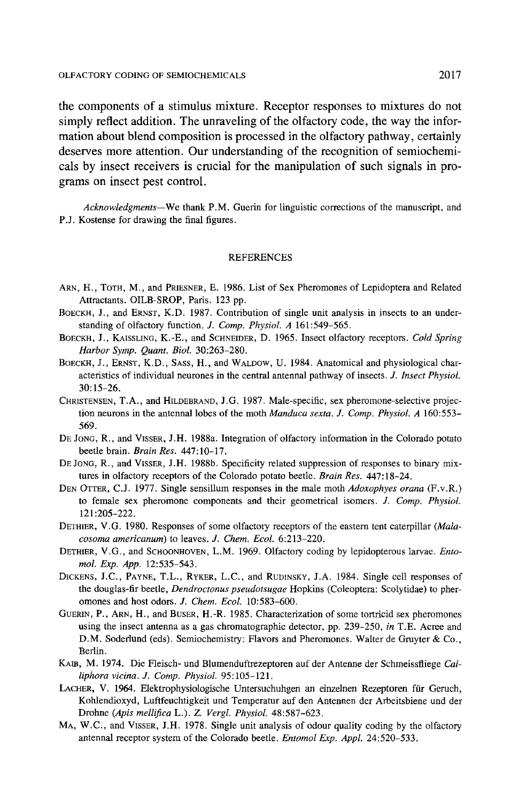the components of a stimulus mixture. Receptor responses to mixtures do not simply reflect addition. The unraveling of the olfactory code, the way the information about blend composition is processed in the olfactory pathway, certainly deserves more attention. Our understanding of the recognition of semiochemicals by insect receivers is crucial for the manipulation of such signals in programs on insect pest control.

*Acknowledgments--We* thank P.M. Guerin for linguistic corrections of the manuscript, and P.J. Kostense for drawing the final figures.

#### **REFERENCES**

- ARN, H., TOTH, M., and PRIESNER, E. 1986. List of Sex Pheromones of Lepidoptera and Related Attractants. OILB-SROP, Paris, 123 pp.
- BOECKH, J., and ERNST, K.D. 1987. Contribution of single unit analysis in insects to an understanding of olfactory function. *J. Comp. Physiol. A* 161:549-565.
- BOECKH, J., KAISSLING, K.-E., and SCHNEIDER, D. 1965. Insect olfactory receptors. *Cold Spring Harbor Syrup. Quant. Biol.* 30:263-280.
- BOECKH, J., ERNST, K.D., SASS, H., and WALDOW, U. 1984. Anatomical and physiological characteristics of individual neurones in the central antennal pathway of insects. *J. Insect Physiol.*  30:15-26.
- CHRISTENSEN, T.A., and HILDEBRAND, J.G. 1987. Male-specific, sex pheromone-selective projection neurons in the antennal lobes of the moth *Manduca sexta. J. Comp. Physiol. A* 160:553- 569.
- DE JONG, R., and VISSER, J.H. 1988a. Integration of olfactory information in the Colorado potato beetle brain. *Brain Res.* 447:10-17.
- DE JONG, R., and VISSER, J.H. 1988b. Specificity related suppression of responses to binary mixtures in olfactory receptors of the Colorado potato beetle. *Brain Res.* 447:18-24.
- DEN OTTER, C.J. 1977. Single sensillum responses in the male moth *Adoxophyes orana* (F.v.R.) to female sex pheromone components and their geometrical isomers. *J. Comp. Physiol.*  121:205-222.
- DETHIER, V.G. 1980. Responses of some olfactory receptors of the eastern tent caterpillar *(Malacosoma americanum)* to leaves. *J. Chem. Ecol.* 6:213-220.
- DETHIER, V.G., and SCHOONHOVEN, L.M. 1969. Olfactory coding by lepidopterous larvae. *Entotool. Exp. App.* 12:535-543.
- DICKENS, J.C., PAYNE, T.L., RYKER, L.C., and RUDINSKY, J.A. 1984. Single cell responses of the douglas-fir beetle, *Dendroctonus pseudotsugae* Hopkins (Coleoptera: Scolytidae) to pheromones and host odors. *J. Chem. Ecol.* 10:583-600.
- GUERIN, P., ARN, H., and BUSER, H.-R. 1985. Characterization of some tortricid sex pheromones using the insect antenna as a gas chromatographic detector, pp. 239-250, *in* T.E. Acree and D.M. Soderlund (eds). Semiochemistry: Flavors and Pheromones. Walter de Gmyter & Co., Berlin.
- KAIB, M. 1974. Die Fleisch- und Blumenduftrezeptoren auf der Antenne der Schmeissfliege Cal*liphora vicina. J. Comp. Physiol.* 95:105-121.
- LACHER, V. 1964. Elektrophysiologische Untersuchuhgen an einzelnen Rezeptoren für Geruch, Kohlendioxyd, Luflfeuchtigkeit und Temperatur auf den Antennen der Arbeitsbiene und der Drohne *(Apis mellifica* L.). *Z. Vergl. Physiol.* 48:587-623.
- MA, W.C., and VISSER, J.H. 1978. Single unit analysis of odour quality coding by the olfactory antennal receptor system of the Colorado beetle. *Entomol Exp. Appl.* 24:520-533.